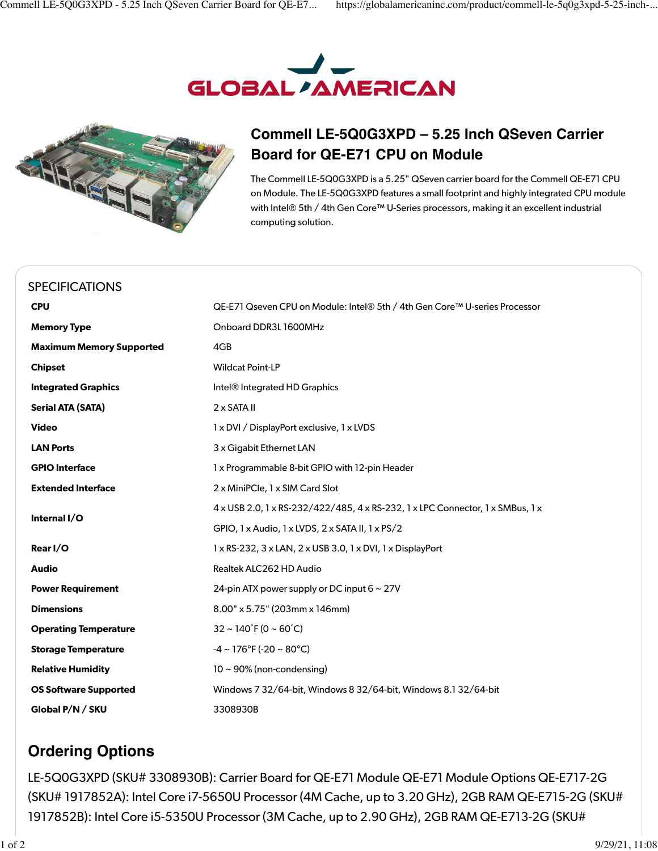



## **Commell LE-5Q0G3XPD – 5.25 Inch QSeven Carrier Board for QE-E71 CPU on Module**

The Commell LE-5Q0G3XPD is a 5.25" QSeven carrier board for the Commell QE-E71 CPU on Module. The LE-5Q0G3XPD features a small footprint and highly integrated CPU module with Intel® 5th / 4th Gen Core™ U-Series processors, making it an excellent industrial computing solution.

| <b>SPECIFICATIONS</b>           |                                                                                               |
|---------------------------------|-----------------------------------------------------------------------------------------------|
| <b>CPU</b>                      | QE-E71 Qseven CPU on Module: Intel® 5th / 4th Gen Core™ U-series Processor                    |
| <b>Memory Type</b>              | Onboard DDR3L 1600MHz                                                                         |
| <b>Maximum Memory Supported</b> | 4GB                                                                                           |
| <b>Chipset</b>                  | <b>Wildcat Point-LP</b>                                                                       |
| <b>Integrated Graphics</b>      | Intel <sup>®</sup> Integrated HD Graphics                                                     |
| <b>Serial ATA (SATA)</b>        | $2 \times$ SATA II                                                                            |
| <b>Video</b>                    | 1 x DVI / DisplayPort exclusive, 1 x LVDS                                                     |
| <b>LAN Ports</b>                | 3 x Gigabit Ethernet LAN                                                                      |
| <b>GPIO Interface</b>           | 1 x Programmable 8-bit GPIO with 12-pin Header                                                |
| <b>Extended Interface</b>       | 2 x MiniPCle, 1 x SIM Card Slot                                                               |
| Internal I/O                    | 4 x USB 2.0, 1 x RS-232/422/485, 4 x RS-232, 1 x LPC Connector, 1 x SMBus, 1 x                |
|                                 | GPIO, 1 x Audio, 1 x LVDS, 2 x SATA II, 1 x PS/2                                              |
| Rear I/O                        | $1 \times$ RS-232, 3 $\times$ LAN, 2 $\times$ USB 3.0, 1 $\times$ DVI, 1 $\times$ DisplayPort |
| <b>Audio</b>                    | Realtek ALC262 HD Audio                                                                       |
| <b>Power Requirement</b>        | 24-pin ATX power supply or DC input $6 \sim 27V$                                              |
| <b>Dimensions</b>               | 8.00" x 5.75" (203mm x 146mm)                                                                 |
| <b>Operating Temperature</b>    | $32 \sim 140^{\circ}$ F (0 ~ 60 $^{\circ}$ C)                                                 |
| <b>Storage Temperature</b>      | $-4 \sim 176^{\circ}$ F (-20 ~ 80 $^{\circ}$ C)                                               |
| <b>Relative Humidity</b>        | $10 \sim 90\%$ (non-condensing)                                                               |
| <b>OS Software Supported</b>    | Windows 7 32/64-bit, Windows 8 32/64-bit, Windows 8.1 32/64-bit                               |
| Global P/N / SKU                | 3308930B                                                                                      |

## **Ordering Options**

LE-5Q0G3XPD (SKU# 3308930B): Carrier Board for QE-E71 Module QE-E71 Module Options QE-E717-2G (SKU# 1917852A): Intel Core i7-5650U Processor (4M Cache, up to 3.20 GHz), 2GB RAM QE-E715-2G (SKU# 1917852B): Intel Core i5-5350U Processor (3M Cache, up to 2.90 GHz), 2GB RAM QE-E713-2G (SKU#